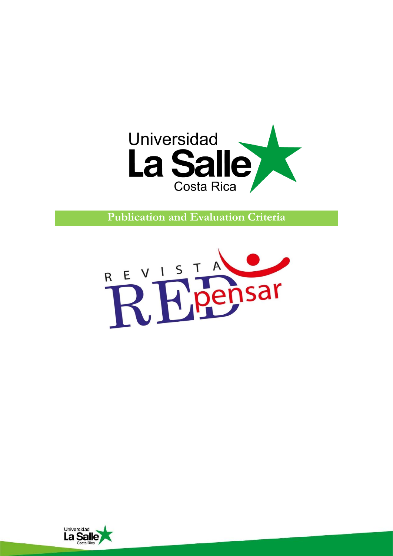

**Publication and Evaluation Criteria**



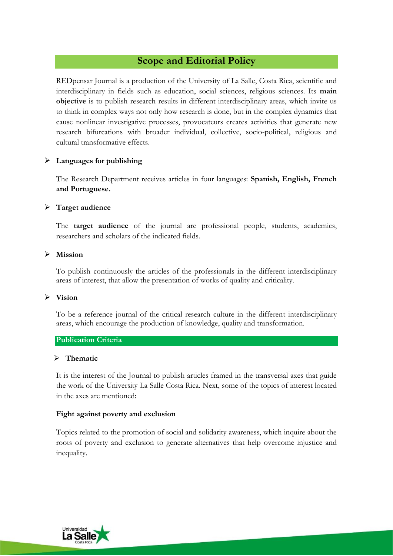# **Scope and Editorial Policy**

REDpensar Journal is a production of the University of La Salle, Costa Rica, scientific and interdisciplinary in fields such as education, social sciences, religious sciences. Its **main objective** is to publish research results in different interdisciplinary areas, which invite us to think in complex ways not only how research is done, but in the complex dynamics that cause nonlinear investigative processes, provocateurs creates activities that generate new research bifurcations with broader individual, collective, socio-political, religious and cultural transformative effects.

## ➢ **Languages for publishing**

The Research Department receives articles in four languages: **Spanish, English, French and Portuguese.**

## ➢ **Target audience**

The **target audience** of the journal are professional people, students, academics, researchers and scholars of the indicated fields.

## ➢ **Mission**

To publish continuously the articles of the professionals in the different interdisciplinary areas of interest, that allow the presentation of works of quality and criticality.

## ➢ **Vision**

To be a reference journal of the critical research culture in the different interdisciplinary areas, which encourage the production of knowledge, quality and transformation.

## **Publication Criteria**

## ➢ **Thematic**

It is the interest of the Journal to publish articles framed in the transversal axes that guide the work of the University La Salle Costa Rica. Next, some of the topics of interest located in the axes are mentioned:

## **Fight against poverty and exclusion**

Topics related to the promotion of social and solidarity awareness, which inquire about the roots of poverty and exclusion to generate alternatives that help overcome injustice and inequality.

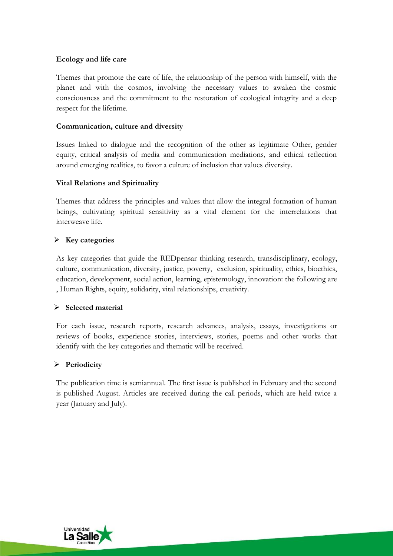## **Ecology and life care**

Themes that promote the care of life, the relationship of the person with himself, with the planet and with the cosmos, involving the necessary values to awaken the cosmic consciousness and the commitment to the restoration of ecological integrity and a deep respect for the lifetime.

## **Communication, culture and diversity**

Issues linked to dialogue and the recognition of the other as legitimate Other, gender equity, critical analysis of media and communication mediations, and ethical reflection around emerging realities, to favor a culture of inclusion that values diversity.

## **Vital Relations and Spirituality**

Themes that address the principles and values that allow the integral formation of human beings, cultivating spiritual sensitivity as a vital element for the interrelations that interweave life.

## ➢ **Key categories**

As key categories that guide the REDpensar thinking research, transdisciplinary, ecology, culture, communication, diversity, justice, poverty, exclusion, spirituality, ethics, bioethics, education, development, social action, learning, epistemology, innovation: the following are , Human Rights, equity, solidarity, vital relationships, creativity.

## ➢ **Selected material**

For each issue, research reports, research advances, analysis, essays, investigations or reviews of books, experience stories, interviews, stories, poems and other works that identify with the key categories and thematic will be received.

## ➢ **Periodicity**

The publication time is semiannual. The first issue is published in February and the second is published August. Articles are received during the call periods, which are held twice a year (January and July).

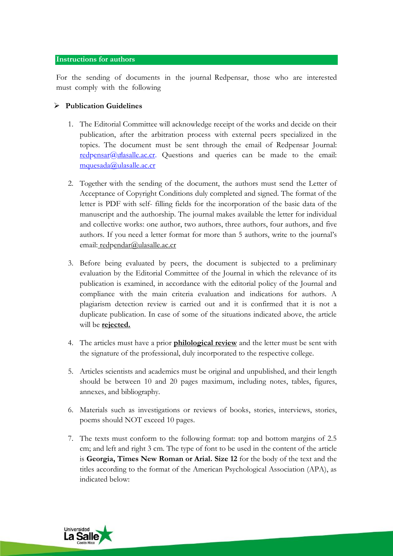### **Instructions for authors**

For the sending of documents in the journal Redpensar, those who are interested must comply with the following

## ➢ **Publication Guidelines**

- 1. The Editorial Committee will acknowledge receipt of the works and decide on their publication, after the arbitration process with external peers specialized in the topics. The document must be sent through the email of Redpensar Journal[:](mailto:redpensar@ulasalle.ac.cr) [redpensar@ulasalle.ac.cr.](mailto:redpensar@ulasalle.ac.cr) Questions and queries can be made to the email[:](mailto:mquesada@ulasalle.ac.cr) [mquesada@ulasalle.ac.cr](mailto:mquesada@ulasalle.ac.cr)
- 2. Together with the sending of the document, the authors must send the Letter of Acceptance of Copyright Conditions duly completed and signed. The format of the letter is PDF with self- filling fields for the incorporation of the basic data of the manuscript and the authorship. The journal makes available the letter for individual and collective works: one author, two authors, three authors, four authors, and five authors. If you need a letter format for more than 5 authors, write to the journal's email: [redpendar@ulasalle.ac.cr](mailto:redpendar@ulasalle.ac.cr)
- 3. Before being evaluated by peers, the document is subjected to a preliminary evaluation by the Editorial Committee of the Journal in which the relevance of its publication is examined, in accordance with the editorial policy of the Journal and compliance with the main criteria evaluation and indications for authors. A plagiarism detection review is carried out and it is confirmed that it is not a duplicate publication. In case of some of the situations indicated above, the article will be **rejected.**
- 4. The articles must have a prior **philological review** and the letter must be sent with the signature of the professional, duly incorporated to the respective college.
- 5. Articles scientists and academics must be original and unpublished, and their length should be between 10 and 20 pages maximum, including notes, tables, figures, annexes, and bibliography.
- 6. Materials such as investigations or reviews of books, stories, interviews, stories, poems should NOT exceed 10 pages.
- 7. The texts must conform to the following format: top and bottom margins of 2.5 cm; and left and right 3 cm. The type of font to be used in the content of the article is **Georgia, Times New Roman or Arial. Size 12** for the body of the text and the titles according to the format of the American Psychological Association (APA), as indicated below:

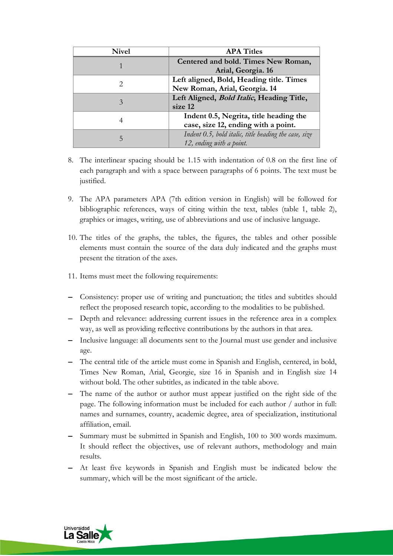| <b>Nivel</b>                | <b>APA Titles</b>                                        |
|-----------------------------|----------------------------------------------------------|
|                             | Centered and bold. Times New Roman,                      |
|                             | Arial, Georgia. 16                                       |
| $\mathcal{D}_{\mathcal{L}}$ | Left aligned, Bold, Heading title. Times                 |
|                             | New Roman, Arial, Georgia. 14                            |
| 3                           | Left Aligned, <i>Bold Italic</i> , Heading Title,        |
|                             | size 12                                                  |
| 4                           | Indent 0.5, Negrita, title heading the                   |
|                             | case, size 12, ending with a point.                      |
| 5                           | Indent $0.5$ , bold italic, title heading the case, size |
|                             | 12, ending with a point.                                 |

- 8. The interlinear spacing should be 1.15 with indentation of 0.8 on the first line of each paragraph and with a space between paragraphs of 6 points. The text must be justified.
- 9. The APA parameters APA (7th edition version in English) will be followed for bibliographic references, ways of citing within the text, tables (table 1, table 2), graphics or images, writing, use of abbreviations and use of inclusive language.
- 10. The titles of the graphs, the tables, the figures, the tables and other possible elements must contain the source of the data duly indicated and the graphs must present the titration of the axes.
- 11. Items must meet the following requirements:
- − Consistency: proper use of writing and punctuation; the titles and subtitles should reflect the proposed research topic, according to the modalities to be published.
- − Depth and relevance: addressing current issues in the reference area in a complex way, as well as providing reflective contributions by the authors in that area.
- − Inclusive language: all documents sent to the Journal must use gender and inclusive age.
- − The central title of the article must come in Spanish and English, centered, in bold, Times New Roman, Arial, Georgie, size 16 in Spanish and in English size 14 without bold. The other subtitles, as indicated in the table above.
- − The name of the author or author must appear justified on the right side of the page. The following information must be included for each author / author in full: names and surnames, country, academic degree, area of specialization, institutional affiliation, email.
- − Summary must be submitted in Spanish and English, 100 to 300 words maximum. It should reflect the objectives, use of relevant authors, methodology and main results.
- − At least five keywords in Spanish and English must be indicated below the summary, which will be the most significant of the article.

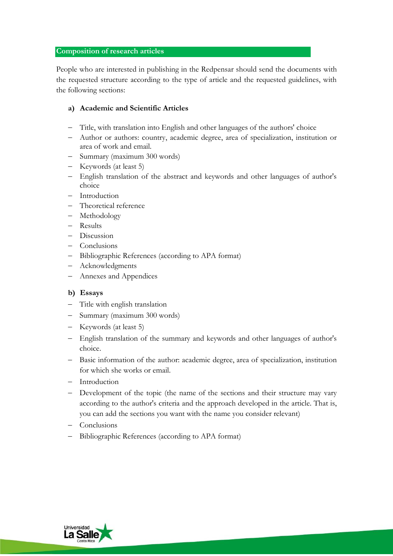### **Composition of research articles**

People who are interested in publishing in the Redpensar should send the documents with the requested structure according to the type of article and the requested guidelines, with the following sections:

## **a) Academic and Scientific Articles**

- − Title, with translation into English and other languages of the authors' choice
- − Author or authors: country, academic degree, area of specialization, institution or area of work and email.
- − Summary (maximum 300 words)
- − Keywords (at least 5)
- − English translation of the abstract and keywords and other languages of author's choice
- − Introduction
- − Theoretical reference
- − Methodology
- − Results
- − Discussion
- − Conclusions
- − Bibliographic References (according to APA format)
- − Acknowledgments
- − Annexes and Appendices

## **b) Essays**

- − Title with english translation
- − Summary (maximum 300 words)
- − Keywords (at least 5)
- − English translation of the summary and keywords and other languages of author's choice.
- − Basic information of the author: academic degree, area of specialization, institution for which she works or email.
- − Introduction
- − Development of the topic (the name of the sections and their structure may vary according to the author's criteria and the approach developed in the article. That is, you can add the sections you want with the name you consider relevant)
- − Conclusions
- − Bibliographic References (according to APA format)

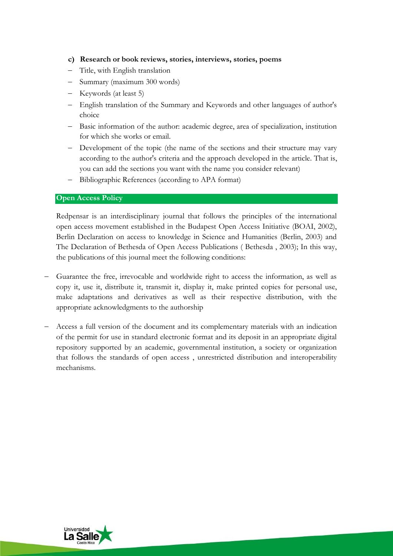## **c) Research or book reviews, stories, interviews, stories, poems**

- − Title, with English translation
- − Summary (maximum 300 words)
- − Keywords (at least 5)
- − English translation of the Summary and Keywords and other languages of author's choice
- − Basic information of the author: academic degree, area of specialization, institution for which she works or email.
- − Development of the topic (the name of the sections and their structure may vary according to the author's criteria and the approach developed in the article. That is, you can add the sections you want with the name you consider relevant)
- Bibliographic References (according to APA format)

### **Open Access Policy**

Redpensar is an interdisciplinary journal that follows the principles of the international open access movement established in the Budapest Open Access Initiative (BOAI, 2002), Berlin Declaration on access to knowledge in Science and Humanities (Berlin, 2003) and The Declaration of Bethesda of Open Access Publications ( Bethesda , 2003); In this way, the publications of this journal meet the following conditions:

- − Guarantee the free, irrevocable and worldwide right to access the information, as well as copy it, use it, distribute it, transmit it, display it, make printed copies for personal use, make adaptations and derivatives as well as their respective distribution, with the appropriate acknowledgments to the authorship
- − Access a full version of the document and its complementary materials with an indication of the permit for use in standard electronic format and its deposit in an appropriate digital repository supported by an academic, governmental institution, a society or organization that follows the standards of open access , unrestricted distribution and interoperability mechanisms.

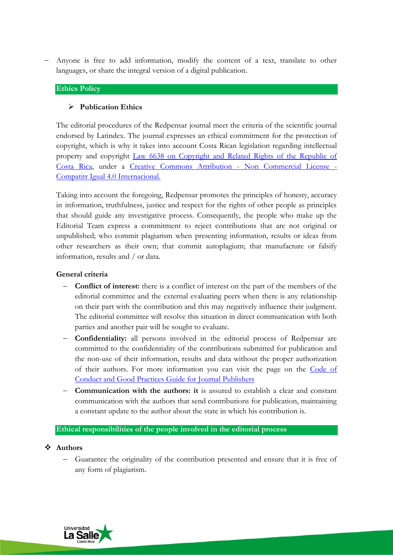Anyone is free to add information, modify the content of a text, translate to other languages, or share the integral version of a digital publication.

### **Ethics Policy**

## ➢ **Publication Ethics**

The editorial procedures of the Redpensar journal meet the criteria of the scientific journal endorsed by Latindex. The journal expresses an ethical commitment for the protection of copyright, which is why it takes into account Costa Rican legislation regarding intellectual property and copyright [Law 6638 on Copyright and Related Rights of the Republic of](https://www.wipo.int/edocs/lexdocs/laws/es/cr/cr084es.pdf)  [Costa Rica,](https://www.wipo.int/edocs/lexdocs/laws/es/cr/cr084es.pdf) under a [Creative Commons Attribution -](https://creativecommons.org/licenses/by-nc-sa/4.0/) Non Commercial License - [Compatitr Igual 4.0 Internacional.](https://creativecommons.org/licenses/by-nc-sa/4.0/)

Taking into account the foregoing, Redpensar promotes the principles of honesty, accuracy in information, truthfulness, justice and respect for the rights of other people as principles that should guide any investigative process. Consequently, the people who make up the Editorial Team express a commitment to reject contributions that are not original or unpublished; who commit plagiarism when presenting information, results or ideas from other researchers as their own; that commit autoplagium; that manufacture or falsify information, results and / or data.

### **General criteria**

- − **Conflict of interest:** there is a conflict of interest on the part of the members of the editorial committee and the external evaluating peers when there is any relationship on their part with the contribution and this may negatively influence their judgment. The editorial committee will resolve this situation in direct communication with both parties and another pair will be sought to evaluate.
- − **Confidentiality:** all persons involved in the editorial process of Redpensar are committed to the confidentiality of the contributions submitted for publication and the non-use of their information, results and data without the proper authorization of their authors. For more information you can visit the page on the [Code](https://revistas.ucm.es/Documentos/CodigoConductaDirectores.pdf) of [Conduct and Good Practices Guide for Journal Publishers](https://revistas.ucm.es/Documentos/CodigoConductaDirectores.pdf)
- − **Communication with the authors: it** is assured to establish a clear and constant communication with the authors that send contributions for publication, maintaining a constant update to the author about the state in which his contribution is.

### **Ethical responsibilities of the people involved in the editorial process**

### ❖ **Authors**

− Guarantee the originality of the contribution presented and ensure that it is free of any form of plagiarism.

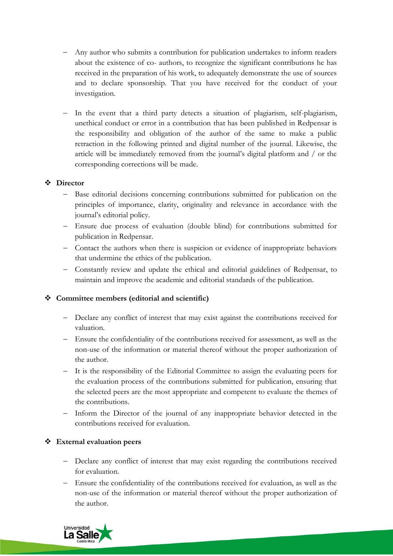- − Any author who submits a contribution for publication undertakes to inform readers about the existence of co- authors, to recognize the significant contributions he has received in the preparation of his work, to adequately demonstrate the use of sources and to declare sponsorship. That you have received for the conduct of your investigation.
- − In the event that a third party detects a situation of plagiarism, self-plagiarism, unethical conduct or error in a contribution that has been published in Redpensar is the responsibility and obligation of the author of the same to make a public retraction in the following printed and digital number of the journal. Likewise, the article will be immediately removed from the journal's digital platform and / or the corresponding corrections will be made.

## ❖ **Director**

- − Base editorial decisions concerning contributions submitted for publication on the principles of importance, clarity, originality and relevance in accordance with the journal's editorial policy.
- − Ensure due process of evaluation (double blind) for contributions submitted for publication in Redpensar.
- − Contact the authors when there is suspicion or evidence of inappropriate behaviors that undermine the ethics of the publication.
- − Constantly review and update the ethical and editorial guidelines of Redpensar, to maintain and improve the academic and editorial standards of the publication.

## ❖ **Committee members (editorial and scientific)**

- − Declare any conflict of interest that may exist against the contributions received for valuation.
- − Ensure the confidentiality of the contributions received for assessment, as well as the non-use of the information or material thereof without the proper authorization of the author.
- − It is the responsibility of the Editorial Committee to assign the evaluating peers for the evaluation process of the contributions submitted for publication, ensuring that the selected peers are the most appropriate and competent to evaluate the themes of the contributions.
- − Inform the Director of the journal of any inappropriate behavior detected in the contributions received for evaluation.

## ❖ **External evaluation peers**

- − Declare any conflict of interest that may exist regarding the contributions received for evaluation.
- − Ensure the confidentiality of the contributions received for evaluation, as well as the non-use of the information or material thereof without the proper authorization of the author.

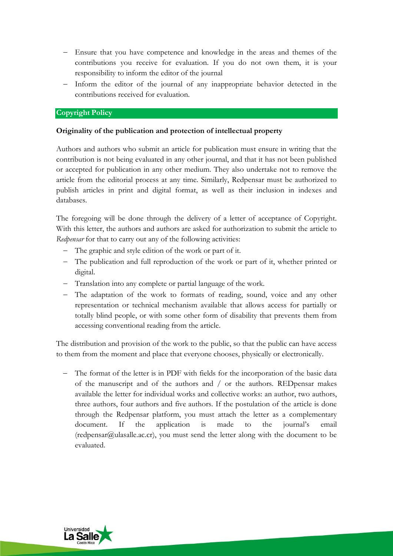- − Ensure that you have competence and knowledge in the areas and themes of the contributions you receive for evaluation. If you do not own them, it is your responsibility to inform the editor of the journal
- − Inform the editor of the journal of any inappropriate behavior detected in the contributions received for evaluation.

## **Copyright Policy**

## **Originality of the publication and protection of intellectual property**

Authors and authors who submit an article for publication must ensure in writing that the contribution is not being evaluated in any other journal, and that it has not been published or accepted for publication in any other medium. They also undertake not to remove the article from the editorial process at any time. Similarly, Redpensar must be authorized to publish articles in print and digital format, as well as their inclusion in indexes and databases.

The foregoing will be done through the delivery of a letter of acceptance of Copyright. With this letter, the authors and authors are asked for authorization to submit the article to *Redpensar* for that to carry out any of the following activities:

- − The graphic and style edition of the work or part of it.
- − The publication and full reproduction of the work or part of it, whether printed or digital.
- − Translation into any complete or partial language of the work.
- − The adaptation of the work to formats of reading, sound, voice and any other representation or technical mechanism available that allows access for partially or totally blind people, or with some other form of disability that prevents them from accessing conventional reading from the article.

The distribution and provision of the work to the public, so that the public can have access to them from the moment and place that everyone chooses, physically or electronically.

− The format of the letter is in PDF with fields for the incorporation of the basic data of the manuscript and of the authors and / or the authors. REDpensar makes available the letter for individual works and collective works: an author, two authors, three authors, four authors and five authors. If the postulation of the article is done through the Redpensar platform, you must attach the letter as a complementary document. If the application is made to the journal's email [\(redpensar@ulasalle.ac.cr\)](mailto:redpensar@ulasalle.ac.cr), you must send the letter along with the document to be evaluated.

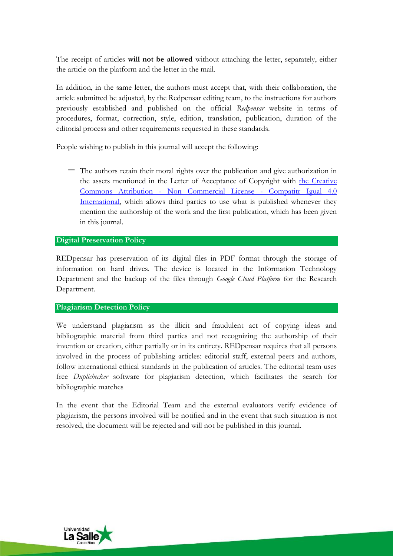The receipt of articles **will not be allowed** without attaching the letter, separately, either the article on the platform and the letter in the mail.

In addition, in the same letter, the authors must accept that, with their collaboration, the article submitted be adjusted, by the Redpensar editing team, to the instructions for authors previously established and published on the official *Redpensar* website in terms of procedures, format, correction, style, edition, translation, publication, duration of the editorial process and other requirements requested in these standards.

People wishing to publish in this journal will accept the following:

− The authors retain their moral rights over the publication and give authorization in the assets mentioned in the Letter of Acceptance of Copyright with [the Creative](https://creativecommons.org/licenses/by-nc-sa/4.0/)  Commons Attribution - [Non Commercial License -](https://creativecommons.org/licenses/by-nc-sa/4.0/) Compatitr Igual 4.0 [International,](https://creativecommons.org/licenses/by-nc-sa/4.0/) which allows third parties to use what is published whenever they mention the authorship of the work and the first publication, which has been given in this journal.

## **Digital Preservation Policy**

REDpensar has preservation of its digital files in PDF format through the storage of information on hard drives. The device is located in the Information Technology Department and the backup of the files through *Google Cloud Platform* for the Research Department.

## **Plagiarism Detection Policy**

We understand plagiarism as the illicit and fraudulent act of copying ideas and bibliographic material from third parties and not recognizing the authorship of their invention or creation, either partially or in its entirety. REDpensar requires that all persons involved in the process of publishing articles: editorial staff, external peers and authors, follow international ethical standards in the publication of articles. The editorial team uses free *Duplichecker* software for plagiarism detection, which facilitates the search for bibliographic matches

In the event that the Editorial Team and the external evaluators verify evidence of plagiarism, the persons involved will be notified and in the event that such situation is not resolved, the document will be rejected and will not be published in this journal.

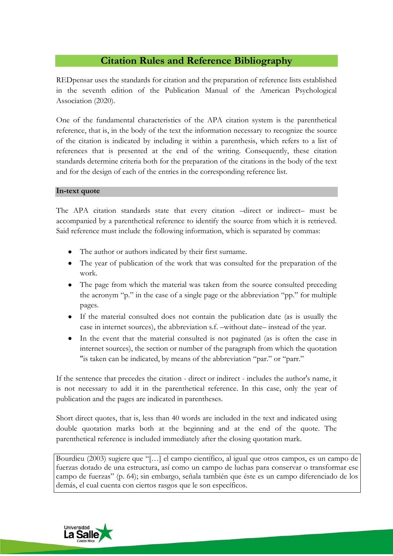# **Citation Rules and Reference Bibliography**

REDpensar uses the standards for citation and the preparation of reference lists established in the seventh edition of the Publication Manual of the American Psychological Association (2020).

One of the fundamental characteristics of the APA citation system is the parenthetical reference, that is, in the body of the text the information necessary to recognize the source of the citation is indicated by including it within a parenthesis, which refers to a list of references that is presented at the end of the writing. Consequently, these citation standards determine criteria both for the preparation of the citations in the body of the text and for the design of each of the entries in the corresponding reference list.

## **In-text quote**

The APA citation standards state that every citation –direct or indirect– must be accompanied by a parenthetical reference to identify the source from which it is retrieved. Said reference must include the following information, which is separated by commas:

- The author or authors indicated by their first surname.
- The year of publication of the work that was consulted for the preparation of the work.
- The page from which the material was taken from the source consulted preceding the acronym "p." in the case of a single page or the abbreviation "pp." for multiple pages.
- If the material consulted does not contain the publication date (as is usually the case in internet sources), the abbreviation s.f. –without date– instead of the year.
- In the event that the material consulted is not paginated (as is often the case in internet sources), the section or number of the paragraph from which the quotation "is taken can be indicated, by means of the abbreviation "par." or "parr."

If the sentence that precedes the citation - direct or indirect - includes the author's name, it is not necessary to add it in the parenthetical reference. In this case, only the year of publication and the pages are indicated in parentheses.

Short direct quotes, that is, less than 40 words are included in the text and indicated using double quotation marks both at the beginning and at the end of the quote. The parenthetical reference is included immediately after the closing quotation mark.

Bourdieu (2003) sugiere que "[…] el campo científico, al igual que otros campos, es un campo de fuerzas dotado de una estructura, así como un campo de luchas para conservar o transformar ese campo de fuerzas" (p. 64); sin embargo, señala también que éste es un campo diferenciado de los demás, el cual cuenta con ciertos rasgos que le son específicos.

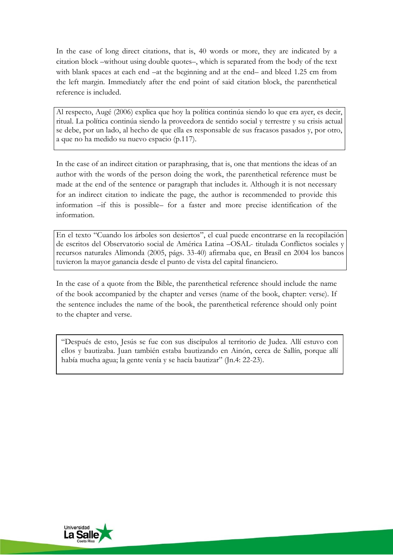In the case of long direct citations, that is, 40 words or more, they are indicated by a citation block –without using double quotes–, which is separated from the body of the text with blank spaces at each end –at the beginning and at the end– and bleed 1.25 cm from the left margin. Immediately after the end point of said citation block, the parenthetical reference is included.

Al respecto, Augé (2006) explica que hoy la política continúa siendo lo que era ayer, es decir, ritual. La política continúa siendo la proveedora de sentido social y terrestre y su crisis actual se debe, por un lado, al hecho de que ella es responsable de sus fracasos pasados y, por otro, a que no ha medido su nuevo espacio (p.117).

In the case of an indirect citation or paraphrasing, that is, one that mentions the ideas of an author with the words of the person doing the work, the parenthetical reference must be made at the end of the sentence or paragraph that includes it. Although it is not necessary for an indirect citation to indicate the page, the author is recommended to provide this information –if this is possible– for a faster and more precise identification of the information.

En el texto "Cuando los árboles son desiertos", el cual puede encontrarse en la recopilación de escritos del Observatorio social de América Latina –OSAL- titulada Conflictos sociales y recursos naturales Alimonda (2005, págs. 33-40) afirmaba que, en Brasil en 2004 los bancos tuvieron la mayor ganancia desde el punto de vista del capital financiero.

In the case of a quote from the Bible, the parenthetical reference should include the name of the book accompanied by the chapter and verses (name of the book, chapter: verse). If the sentence includes the name of the book, the parenthetical reference should only point to the chapter and verse.

"Después de esto, Jesús se fue con sus discípulos al territorio de Judea. Allí estuvo con ellos y bautizaba. Juan también estaba bautizando en Ainón, cerca de Sallín, porque allí había mucha agua; la gente venía y se hacía bautizar" (Jn.4: 22-23).

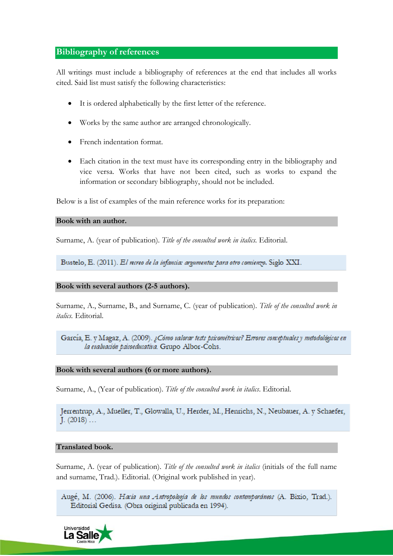## **Bibliography of references**

All writings must include a bibliography of references at the end that includes all works cited. Said list must satisfy the following characteristics:

- It is ordered alphabetically by the first letter of the reference.
- Works by the same author are arranged chronologically.
- French indentation format.
- Each citation in the text must have its corresponding entry in the bibliography and vice versa. Works that have not been cited, such as works to expand the information or secondary bibliography, should not be included.

Below is a list of examples of the main reference works for its preparation:

### **Book with an author.**

Surname, A. (year of publication). *Title of the consulted work in italics.* Editorial.

Bustelo, E. (2011). El recreo de la infancia: argumentos para otro comienzo. Siglo XXI.

## **Book with several authors (2-5 authors).**

Surname, A., Surname, B., and Surname, C. (year of publication). *Title of the consulted work in italics.* Editorial.

García, E. y Magaz, A. (2009). ¿Cómo valorar tests psicométricos? Errores conceptuales y metodológicos en la evaluación psicoeducativa. Grupo Albor-Cohs.

### **Book with several authors (6 or more authors).**

Surname, A., (Year of publication). *Title of the consulted work in italics*. Editorial.

Jerrentrup, A., Mueller, T., Glowalla, U., Herder, M., Henrichs, N., Neubauer, A. y Schaefer, J.  $(2018)$  ...

### **Translated book.**

Surname, A. (year of publication). *Title of the consulted work in italics* (initials of the full name and surname, Trad.). Editorial. (Original work published in year).

Augé, M. (2006). Hacia una Antropología de los mundos contemporáneos (A. Bixio, Trad.). Editorial Gedisa. (Obra original publicada en 1994).

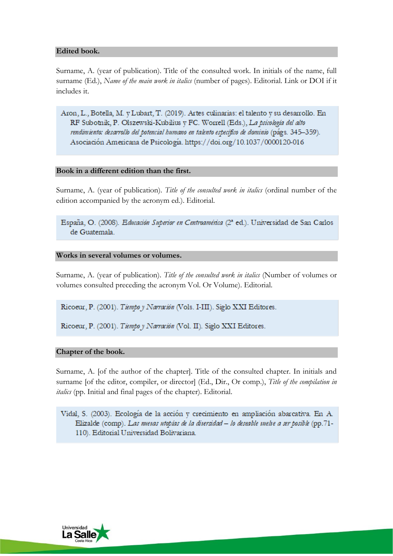## **Edited book.**

Surname, A. (year of publication). Title of the consulted work. In initials of the name, full surname (Ed.), *Name of the main work in italics* (number of pages). Editorial. Link or DOI if it includes it.

Aron, L., Botella, M. y Lubart, T. (2019). Artes culinarias: el talento y su desarrollo. En RF Subotnik, P. Olszewski-Kubilius y FC. Worrell (Eds.), La psicología del alto rendimiento: desarrollo del potencial humano en talento específico de dominio (págs. 345-359). Asociación Americana de Psicología. https://doi.org/10.1037/0000120-016

## **Book in a different edition than the first.**

Surname, A. (year of publication). *Title of the consulted work in italics* (ordinal number of the edition accompanied by the acronym ed.). Editorial.

España, O. (2008). Educación Superior en Centroamérica (2ª ed.). Universidad de San Carlos de Guatemala.

### **Works in several volumes or volumes.**

Surname, A. (year of publication). *Title of the consulted work in italics* (Number of volumes or volumes consulted preceding the acronym Vol. Or Volume). Editorial.

Ricoeur, P. (2001). Tiempo y Narración (Vols. I-III). Siglo XXI Editores.

Ricoeur, P. (2001). Tiempo y Narración (Vol. II). Siglo XXI Editores.

## **Chapter of the book.**

Surname, A. [of the author of the chapter]. Title of the consulted chapter. In initials and surname [of the editor, compiler, or director] (Ed., Dir., Or comp.), *Title of the compilation in italics* (pp. Initial and final pages of the chapter). Editorial.

Vidal, S. (2003). Ecología de la acción y crecimiento en ampliación abarcativa. En A. Elizalde (comp). Las nuevas utopías de la diversidad - lo deseable vuelve a ser posible (pp.71-110). Editorial Universidad Bolivariana.

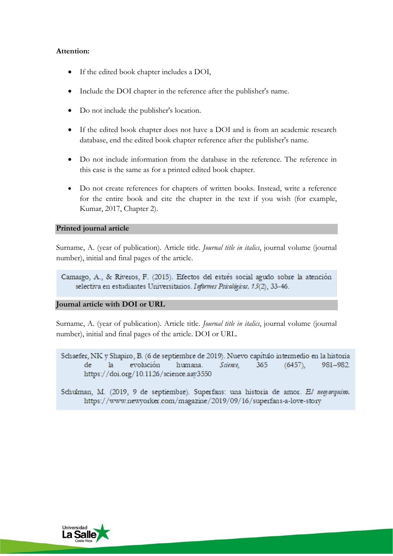## **Attention:**

- If the edited book chapter includes a DOI,
- Include the DOI chapter in the reference after the publisher's name.
- Do not include the publisher's location.
- If the edited book chapter does not have a DOI and is from an academic research database, end the edited book chapter reference after the publisher's name.
- Do not include information from the database in the reference. The reference in this case is the same as for a printed edited book chapter.
- Do not create references for chapters of written books. Instead, write a reference for the entire book and cite the chapter in the text if you wish (for example, Kumar, 2017, Chapter 2).

## **Printed journal article**

Surname, A. (year of publication). Article title. *Journal title in italics*, journal volume (journal number), initial and final pages of the article.

Camargo, A., & Riveros, F. (2015). Efectos del estrés social agudo sobre la atención selectiva en estudiantes Universitarios. Informes Psicológicos, 15(2), 33-46.

### **Journal article with DOI or URL**

Surname, A. (year of publication). Article title. *Journal title in italics*, journal volume (journal number), initial and final pages of the article. DOI or URL.

Schaefer, NK y Shapiro, B. (6 de septiembre de 2019). Nuevo capítulo intermedio en la historia  $l$ a evolución humana. Science, 365  $(6457),$ 981-982. de https://doi.org/10.1126/science.aay3550

Schulman, M. (2019, 9 de septiembre). Superfans: una historia de amor. El negyarquino. https://www.newyorker.com/magazine/2019/09/16/superfans-a-love-story

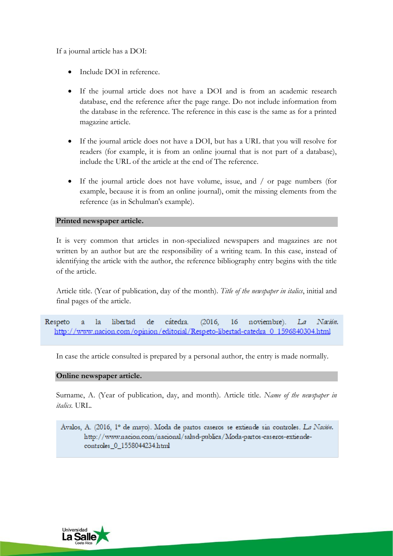If a journal article has a DOI:

- Include DOI in reference.
- If the journal article does not have a DOI and is from an academic research database, end the reference after the page range. Do not include information from the database in the reference. The reference in this case is the same as for a printed magazine article.
- If the journal article does not have a DOI, but has a URL that you will resolve for readers (for example, it is from an online journal that is not part of a database), include the URL of the article at the end of The reference.
- If the journal article does not have volume, issue, and / or page numbers (for example, because it is from an online journal), omit the missing elements from the reference (as in Schulman's example).

## **Printed newspaper article.**

It is very common that articles in non-specialized newspapers and magazines are not written by an author but are the responsibility of a writing team. In this case, instead of identifying the article with the author, the reference bibliography entry begins with the title of the article.

Article title. (Year of publication, day of the month). *Title of the newspaper in italics*, initial and final pages of the article.

cátedra. noviembre). Respeto la libertad de  $(2016,$  $16<sup>1</sup>$ La Nación. ā http://www.nacion.com/opinion/editorial/Respeto-libertad-catedra 0 1596840304.html

In case the article consulted is prepared by a personal author, the entry is made normally.

## **Online newspaper article.**

Surname, A. (Year of publication, day, and month). Article title. *Name of the newspaper in italics.* URL.

Ávalos, A. (2016, 1° de mayo). Moda de partos caseros se extiende sin controles. La Nación. http://www.nacion.com/nacional/salud-publica/Moda-partos-caseros-extiendecontroles\_0\_1558044234.html

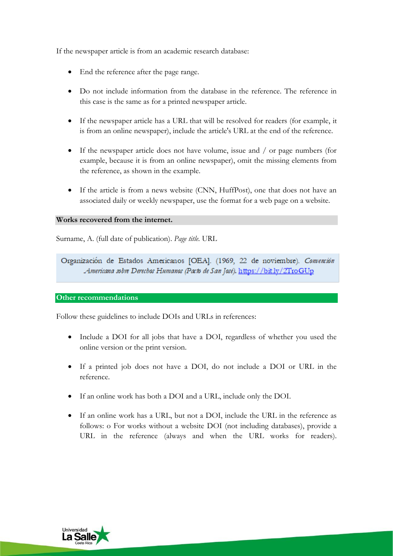If the newspaper article is from an academic research database:

- End the reference after the page range.
- Do not include information from the database in the reference. The reference in this case is the same as for a printed newspaper article.
- If the newspaper article has a URL that will be resolved for readers (for example, it is from an online newspaper), include the article's URL at the end of the reference.
- If the newspaper article does not have volume, issue and / or page numbers (for example, because it is from an online newspaper), omit the missing elements from the reference, as shown in the example.
- If the article is from a news website (CNN, HuffPost), one that does not have an associated daily or weekly newspaper, use the format for a web page on a website.

### **Works recovered from the internet.**

Surname, A. (full date of publication). *Page title.* URL

Organización de Estados Americanos [OEA]. (1969, 22 de noviembre). Comención Americana sobre Derechas Humanas (Pacto de San Jasé). https://bit.ly/2T10GUp

### **Other recommendations**

Follow these guidelines to include DOIs and URLs in references:

- Include a DOI for all jobs that have a DOI, regardless of whether you used the online version or the print version.
- If a printed job does not have a DOI, do not include a DOI or URL in the reference.
- If an online work has both a DOI and a URL, include only the DOI.
- If an online work has a URL, but not a DOI, include the URL in the reference as follows: o For works without a website DOI (not including databases), provide a URL in the reference (always and when the URL works for readers).